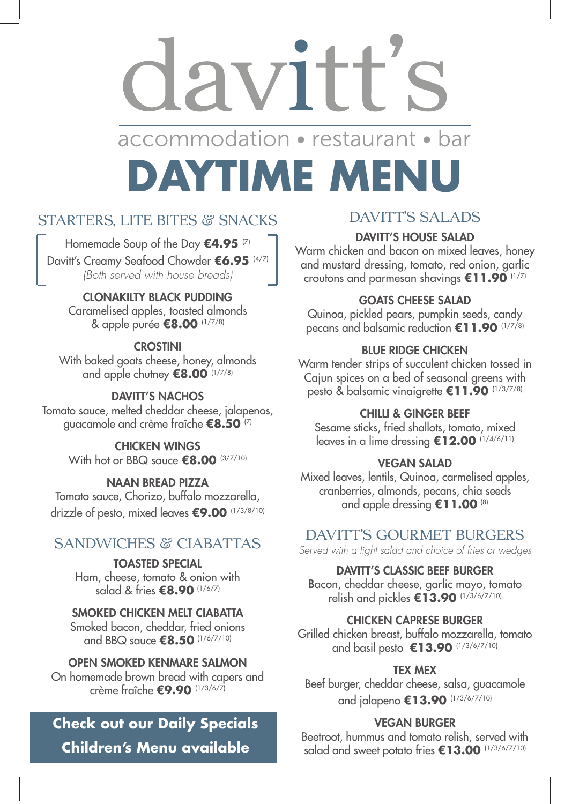Homemade Soup of the Day **€4.95** (7) Davitt's Creamy Seafood Chowder **€6.95** (4/7) *(Both served with house breads)*

### CLONAKILTY BLACK PUDDING

With baked goats cheese, honey, almonds and apple chutney **€8.00** (1/7/8)

### DAVITT'S NACHOS

Caramelised apples, toasted almonds & apple purée **€8.00** (1/7/8)

### **CROSTINI**

CHICKEN WINGS With hot or BBQ sauce **€8.00** <sup>(3/7/10)</sup>

Tomato sauce, melted cheddar cheese, jalapenos, guacamole and crème fraîche **€8.50** (7)

# PIV 1 accommodation • restaurant • bar **DAYTIME MENU**

### STARTERS, LITE BITES & SNACKS

### NAAN BREAD PIZZA

Tomato sauce, Chorizo, buffalo mozzarella, drizzle of pesto, mixed leaves **€9.00** (1/3/8/10)

### SANDWICHES & CIABATTAS

TOASTED SPECIAL Ham, cheese, tomato & onion with salad & fries **€8.90** (1/6/7)

### SMOKED CHICKEN MELT CIABATTA Smoked bacon, cheddar, fried onions and BBQ sauce **€8.50** (1/6/7/10)

#### OPEN SMOKED KENMARE SALMON On homemade brown bread with capers and crème fraîche **€9.90** (1/3/6/7)

### DAVITT'S SALADS

### DAVITT'S HOUSE SALAD

Warm chicken and bacon on mixed leaves, honey and mustard dressing, tomato, red onion, garlic croutons and parmesan shavings **€11.90** (1/7)

Beetroot, hummus and tomato relish, served with salad and sweet potato fries €13.00 <sup>(1/3/6/7/10)</sup>

### GOATS CHEESE SALAD

Quinoa, pickled pears, pumpkin seeds, candy pecans and balsamic reduction **€11.90** (1/7/8)

### BLUE RIDGE CHICKEN

Warm tender strips of succulent chicken tossed in Cajun spices on a bed of seasonal greens with pesto & balsamic vinaigrette **€11.90** (1/3/7/8)

### CHILLI & GINGER BEEF

Sesame sticks, fried shallots, tomato, mixed leaves in a lime dressing **€12.00** (1/4/6/11)

### VEGAN SALAD

Mixed leaves, lentils, Quinoa, carmelised apples, cranberries, almonds, pecans, chia seeds and apple dressing **€11.00** (8)

### DAVITT'S GOURMET BURGERS

*Served with a light salad and choice of fries or wedges* 

#### DAVITT'S CLASSIC BEEF BURGER

Bacon, cheddar cheese, garlic mayo, tomato relish and pickles **€13.90** (1/3/6/7/10)

#### CHICKEN CAPRESE BURGER

Grilled chicken breast, buffalo mozzarella, tomato and basil pesto **€13.90** (1/3/6/7/10)

### TEX MEX

Beef burger, cheddar cheese, salsa, guacamole and jalapeno **€13.90** (1/3/6/7/10)

#### VEGAN BURGER

## **Check out our Daily Specials Children's Menu available**